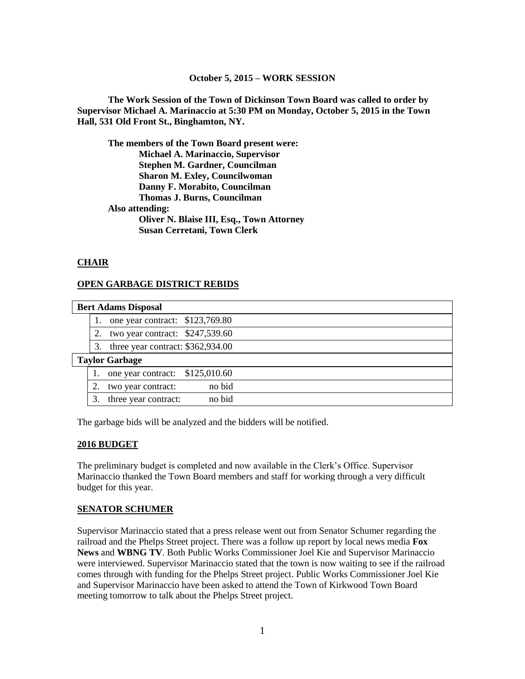#### **October 5, 2015 – WORK SESSION**

**The Work Session of the Town of Dickinson Town Board was called to order by Supervisor Michael A. Marinaccio at 5:30 PM on Monday, October 5, 2015 in the Town Hall, 531 Old Front St., Binghamton, NY.**

**The members of the Town Board present were: Michael A. Marinaccio, Supervisor Stephen M. Gardner, Councilman Sharon M. Exley, Councilwoman Danny F. Morabito, Councilman Thomas J. Burns, Councilman Also attending: Oliver N. Blaise III, Esq., Town Attorney Susan Cerretani, Town Clerk**

### **CHAIR**

### **OPEN GARBAGE DISTRICT REBIDS**

| <b>Bert Adams Disposal</b> |    |                                   |        |  |
|----------------------------|----|-----------------------------------|--------|--|
|                            |    | one year contract: \$123,769.80   |        |  |
|                            | 2. | two year contract: $$247,539.60$  |        |  |
|                            | 3. | three year contract: \$362,934.00 |        |  |
| <b>Taylor Garbage</b>      |    |                                   |        |  |
|                            |    | one year contract: $$125,010.60$  |        |  |
|                            |    | two year contract:                | no bid |  |
|                            | 3. | three year contract:              | no bid |  |

The garbage bids will be analyzed and the bidders will be notified.

#### **2016 BUDGET**

The preliminary budget is completed and now available in the Clerk's Office. Supervisor Marinaccio thanked the Town Board members and staff for working through a very difficult budget for this year.

### **SENATOR SCHUMER**

Supervisor Marinaccio stated that a press release went out from Senator Schumer regarding the railroad and the Phelps Street project. There was a follow up report by local news media **Fox News** and **WBNG TV**. Both Public Works Commissioner Joel Kie and Supervisor Marinaccio were interviewed. Supervisor Marinaccio stated that the town is now waiting to see if the railroad comes through with funding for the Phelps Street project. Public Works Commissioner Joel Kie and Supervisor Marinaccio have been asked to attend the Town of Kirkwood Town Board meeting tomorrow to talk about the Phelps Street project.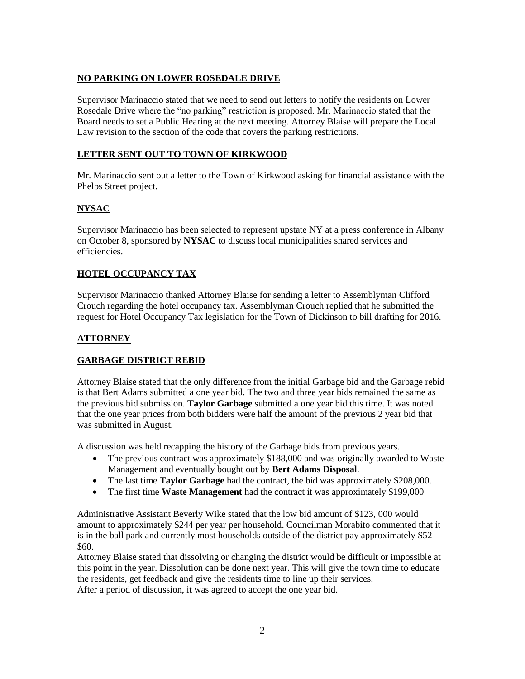# **NO PARKING ON LOWER ROSEDALE DRIVE**

Supervisor Marinaccio stated that we need to send out letters to notify the residents on Lower Rosedale Drive where the "no parking" restriction is proposed. Mr. Marinaccio stated that the Board needs to set a Public Hearing at the next meeting. Attorney Blaise will prepare the Local Law revision to the section of the code that covers the parking restrictions.

### **LETTER SENT OUT TO TOWN OF KIRKWOOD**

Mr. Marinaccio sent out a letter to the Town of Kirkwood asking for financial assistance with the Phelps Street project.

# **NYSAC**

Supervisor Marinaccio has been selected to represent upstate NY at a press conference in Albany on October 8, sponsored by **NYSAC** to discuss local municipalities shared services and efficiencies.

# **HOTEL OCCUPANCY TAX**

Supervisor Marinaccio thanked Attorney Blaise for sending a letter to Assemblyman Clifford Crouch regarding the hotel occupancy tax. Assemblyman Crouch replied that he submitted the request for Hotel Occupancy Tax legislation for the Town of Dickinson to bill drafting for 2016.

# **ATTORNEY**

# **GARBAGE DISTRICT REBID**

Attorney Blaise stated that the only difference from the initial Garbage bid and the Garbage rebid is that Bert Adams submitted a one year bid. The two and three year bids remained the same as the previous bid submission. **Taylor Garbage** submitted a one year bid this time. It was noted that the one year prices from both bidders were half the amount of the previous 2 year bid that was submitted in August.

A discussion was held recapping the history of the Garbage bids from previous years.

- The previous contract was approximately \$188,000 and was originally awarded to Waste Management and eventually bought out by **Bert Adams Disposal**.
- The last time **Taylor Garbage** had the contract, the bid was approximately \$208,000.
- The first time **Waste Management** had the contract it was approximately \$199,000

Administrative Assistant Beverly Wike stated that the low bid amount of \$123, 000 would amount to approximately \$244 per year per household. Councilman Morabito commented that it is in the ball park and currently most households outside of the district pay approximately \$52- \$60.

Attorney Blaise stated that dissolving or changing the district would be difficult or impossible at this point in the year. Dissolution can be done next year. This will give the town time to educate the residents, get feedback and give the residents time to line up their services. After a period of discussion, it was agreed to accept the one year bid.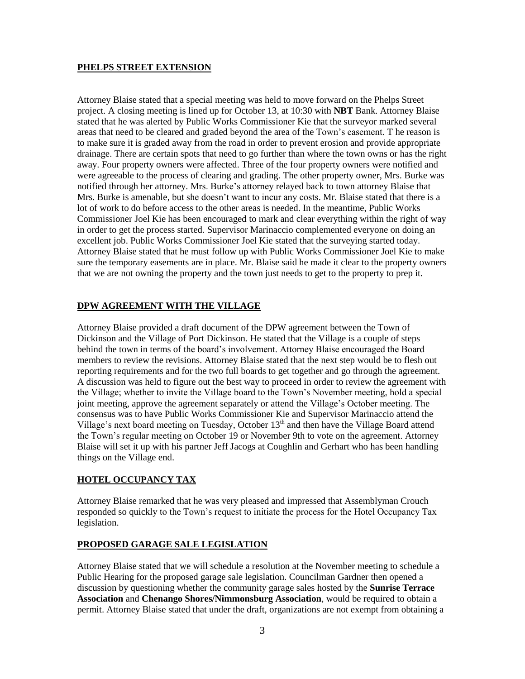#### **PHELPS STREET EXTENSION**

Attorney Blaise stated that a special meeting was held to move forward on the Phelps Street project. A closing meeting is lined up for October 13, at 10:30 with **NBT** Bank. Attorney Blaise stated that he was alerted by Public Works Commissioner Kie that the surveyor marked several areas that need to be cleared and graded beyond the area of the Town's easement. T he reason is to make sure it is graded away from the road in order to prevent erosion and provide appropriate drainage. There are certain spots that need to go further than where the town owns or has the right away. Four property owners were affected. Three of the four property owners were notified and were agreeable to the process of clearing and grading. The other property owner, Mrs. Burke was notified through her attorney. Mrs. Burke's attorney relayed back to town attorney Blaise that Mrs. Burke is amenable, but she doesn't want to incur any costs. Mr. Blaise stated that there is a lot of work to do before access to the other areas is needed. In the meantime, Public Works Commissioner Joel Kie has been encouraged to mark and clear everything within the right of way in order to get the process started. Supervisor Marinaccio complemented everyone on doing an excellent job. Public Works Commissioner Joel Kie stated that the surveying started today. Attorney Blaise stated that he must follow up with Public Works Commissioner Joel Kie to make sure the temporary easements are in place. Mr. Blaise said he made it clear to the property owners that we are not owning the property and the town just needs to get to the property to prep it.

### **DPW AGREEMENT WITH THE VILLAGE**

Attorney Blaise provided a draft document of the DPW agreement between the Town of Dickinson and the Village of Port Dickinson. He stated that the Village is a couple of steps behind the town in terms of the board's involvement. Attorney Blaise encouraged the Board members to review the revisions. Attorney Blaise stated that the next step would be to flesh out reporting requirements and for the two full boards to get together and go through the agreement. A discussion was held to figure out the best way to proceed in order to review the agreement with the Village; whether to invite the Village board to the Town's November meeting, hold a special joint meeting, approve the agreement separately or attend the Village's October meeting. The consensus was to have Public Works Commissioner Kie and Supervisor Marinaccio attend the Village's next board meeting on Tuesday, October 13<sup>th</sup> and then have the Village Board attend the Town's regular meeting on October 19 or November 9th to vote on the agreement. Attorney Blaise will set it up with his partner Jeff Jacogs at Coughlin and Gerhart who has been handling things on the Village end.

### **HOTEL OCCUPANCY TAX**

Attorney Blaise remarked that he was very pleased and impressed that Assemblyman Crouch responded so quickly to the Town's request to initiate the process for the Hotel Occupancy Tax legislation.

### **PROPOSED GARAGE SALE LEGISLATION**

Attorney Blaise stated that we will schedule a resolution at the November meeting to schedule a Public Hearing for the proposed garage sale legislation. Councilman Gardner then opened a discussion by questioning whether the community garage sales hosted by the **Sunrise Terrace Association** and **Chenango Shores/Nimmonsburg Association**, would be required to obtain a permit. Attorney Blaise stated that under the draft, organizations are not exempt from obtaining a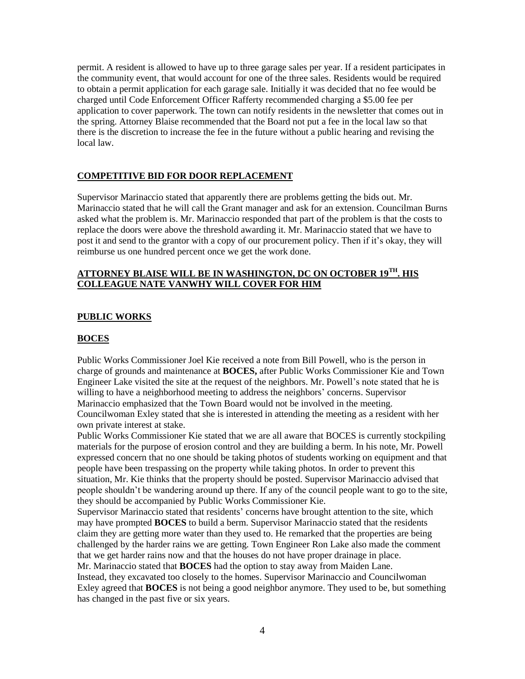permit. A resident is allowed to have up to three garage sales per year. If a resident participates in the community event, that would account for one of the three sales. Residents would be required to obtain a permit application for each garage sale. Initially it was decided that no fee would be charged until Code Enforcement Officer Rafferty recommended charging a \$5.00 fee per application to cover paperwork. The town can notify residents in the newsletter that comes out in the spring. Attorney Blaise recommended that the Board not put a fee in the local law so that there is the discretion to increase the fee in the future without a public hearing and revising the local law.

#### **COMPETITIVE BID FOR DOOR REPLACEMENT**

Supervisor Marinaccio stated that apparently there are problems getting the bids out. Mr. Marinaccio stated that he will call the Grant manager and ask for an extension. Councilman Burns asked what the problem is. Mr. Marinaccio responded that part of the problem is that the costs to replace the doors were above the threshold awarding it. Mr. Marinaccio stated that we have to post it and send to the grantor with a copy of our procurement policy. Then if it's okay, they will reimburse us one hundred percent once we get the work done.

### **ATTORNEY BLAISE WILL BE IN WASHINGTON, DC ON OCTOBER 19TH . HIS COLLEAGUE NATE VANWHY WILL COVER FOR HIM**

#### **PUBLIC WORKS**

#### **BOCES**

Public Works Commissioner Joel Kie received a note from Bill Powell, who is the person in charge of grounds and maintenance at **BOCES,** after Public Works Commissioner Kie and Town Engineer Lake visited the site at the request of the neighbors. Mr. Powell's note stated that he is willing to have a neighborhood meeting to address the neighbors' concerns. Supervisor Marinaccio emphasized that the Town Board would not be involved in the meeting. Councilwoman Exley stated that she is interested in attending the meeting as a resident with her own private interest at stake.

Public Works Commissioner Kie stated that we are all aware that BOCES is currently stockpiling materials for the purpose of erosion control and they are building a berm. In his note, Mr. Powell expressed concern that no one should be taking photos of students working on equipment and that people have been trespassing on the property while taking photos. In order to prevent this situation, Mr. Kie thinks that the property should be posted. Supervisor Marinaccio advised that people shouldn't be wandering around up there. If any of the council people want to go to the site, they should be accompanied by Public Works Commissioner Kie.

Supervisor Marinaccio stated that residents' concerns have brought attention to the site, which may have prompted **BOCES** to build a berm. Supervisor Marinaccio stated that the residents claim they are getting more water than they used to. He remarked that the properties are being challenged by the harder rains we are getting. Town Engineer Ron Lake also made the comment that we get harder rains now and that the houses do not have proper drainage in place. Mr. Marinaccio stated that **BOCES** had the option to stay away from Maiden Lane.

Instead, they excavated too closely to the homes. Supervisor Marinaccio and Councilwoman Exley agreed that **BOCES** is not being a good neighbor anymore. They used to be, but something has changed in the past five or six years.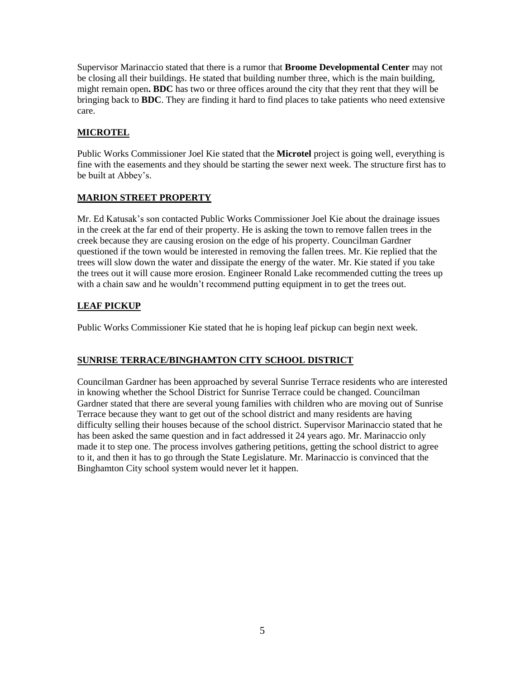Supervisor Marinaccio stated that there is a rumor that **Broome Developmental Center** may not be closing all their buildings. He stated that building number three, which is the main building, might remain open**. BDC** has two or three offices around the city that they rent that they will be bringing back to **BDC**. They are finding it hard to find places to take patients who need extensive care.

# **MICROTEL**

Public Works Commissioner Joel Kie stated that the **Microtel** project is going well, everything is fine with the easements and they should be starting the sewer next week. The structure first has to be built at Abbey's.

# **MARION STREET PROPERTY**

Mr. Ed Katusak's son contacted Public Works Commissioner Joel Kie about the drainage issues in the creek at the far end of their property. He is asking the town to remove fallen trees in the creek because they are causing erosion on the edge of his property. Councilman Gardner questioned if the town would be interested in removing the fallen trees. Mr. Kie replied that the trees will slow down the water and dissipate the energy of the water. Mr. Kie stated if you take the trees out it will cause more erosion. Engineer Ronald Lake recommended cutting the trees up with a chain saw and he wouldn't recommend putting equipment in to get the trees out.

# **LEAF PICKUP**

Public Works Commissioner Kie stated that he is hoping leaf pickup can begin next week.

# **SUNRISE TERRACE/BINGHAMTON CITY SCHOOL DISTRICT**

Councilman Gardner has been approached by several Sunrise Terrace residents who are interested in knowing whether the School District for Sunrise Terrace could be changed. Councilman Gardner stated that there are several young families with children who are moving out of Sunrise Terrace because they want to get out of the school district and many residents are having difficulty selling their houses because of the school district. Supervisor Marinaccio stated that he has been asked the same question and in fact addressed it 24 years ago. Mr. Marinaccio only made it to step one. The process involves gathering petitions, getting the school district to agree to it, and then it has to go through the State Legislature. Mr. Marinaccio is convinced that the Binghamton City school system would never let it happen.